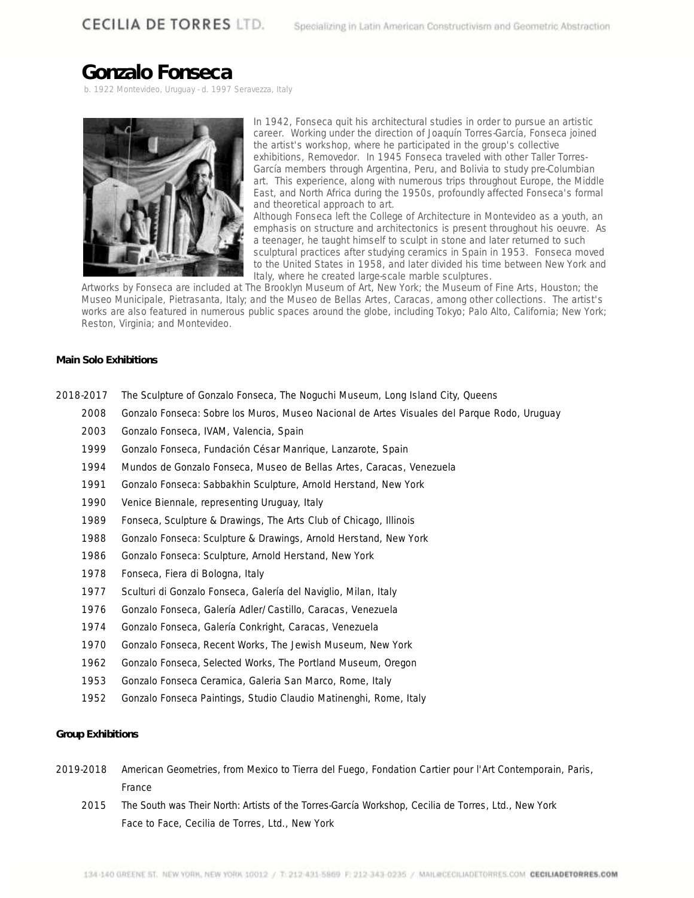# **Gonzalo Fonseca**

b. 1922 Montevideo, Uruguay - d. 1997 Seravezza, Italy



In 1942, Fonseca quit his architectural studies in order to pursue an artistic career. Working under the direction of Joaquín Torres-García, Fonseca joined the artist's workshop, where he participated in the group's collective exhibitions, *Removedor*. In 1945 Fonseca traveled with other *Taller Torres-García* members through Argentina, Peru, and Bolivia to study pre-Columbian art. This experience, along with numerous trips throughout Europe, the Middle East, and North Africa during the 1950s, profoundly affected Fonseca's formal and theoretical approach to art.

Although Fonseca left the College of Architecture in Montevideo as a youth, an emphasis on structure and architectonics is present throughout his oeuvre. As a teenager, he taught himself to sculpt in stone and later returned to such sculptural practices after studying ceramics in Spain in 1953. Fonseca moved to the United States in 1958, and later divided his time between New York and Italy, where he created large-scale marble sculptures.

Artworks by Fonseca are included at The Brooklyn Museum of Art, New York; the Museum of Fine Arts, Houston; the Museo Municipale, Pietrasanta, Italy; and the Museo de Bellas Artes, Caracas, among other collections. The artist's works are also featured in numerous public spaces around the globe, including Tokyo; Palo Alto, California; New York; Reston, Virginia; and Montevideo.

### **Main Solo Exhibitions**

- 2018-2017 *The Sculpture of Gonzalo Fonseca,* The Noguchi Museum, Long Island City, Queens
	- 2008 *Gonzalo Fonseca: Sobre los Muros*, Museo Nacional de Artes Visuales del Parque Rodo, Uruguay
	- 2003 *Gonzalo Fonseca*, IVAM, Valencia, Spain
	- 1999 *Gonzalo Fonseca*, Fundación César Manrique, Lanzarote, Spain
	- 1994 *Mundos de Gonzalo Fonseca*, Museo de Bellas Artes, Caracas, Venezuela
	- 1991 *Gonzalo Fonseca: Sabbakhin Sculpture*, Arnold Herstand, New York
	- 1990 Venice Biennale, representing Uruguay, Italy
	- 1989 *Fonseca, Sculpture & Drawings*, The Arts Club of Chicago, Illinois
	- 1988 *Gonzalo Fonseca: Sculpture & Drawings*, Arnold Herstand, New York
	- 1986 *Gonzalo Fonseca: Sculpture*, Arnold Herstand, New York
	- 1978 *Fonseca*, Fiera di Bologna, Italy
	- 1977 *Sculturi di Gonzalo Fonseca*, Galería del Naviglio, Milan, Italy
	- 1976 *Gonzalo Fonseca*, Galería Adler/Castillo, Caracas, Venezuela
	- 1974 *Gonzalo Fonseca*, Galería Conkright, Caracas, Venezuela
	- 1970 *Gonzalo Fonseca, Recent Works*, The Jewish Museum, New York
	- 1962 *Gonzalo Fonseca, Selected Works*, The Portland Museum, Oregon
	- 1953 *Gonzalo Fonseca Ceramica*, Galeria San Marco, Rome, Italy
	- 1952 *Gonzalo Fonseca Paintings*, Studio Claudio Matinenghi, Rome, Italy

## **Group Exhibitions**

- 2019-2018 *American Geometries, from Mexico to Tierra del Fuego*, Fondation Cartier pour l'Art Contemporain, Paris, France
	- 2015 *The South was Their North: Artists of the Torres-García Workshop*, Cecilia de Torres, Ltd., New York *Face to Face*, Cecilia de Torres, Ltd., New York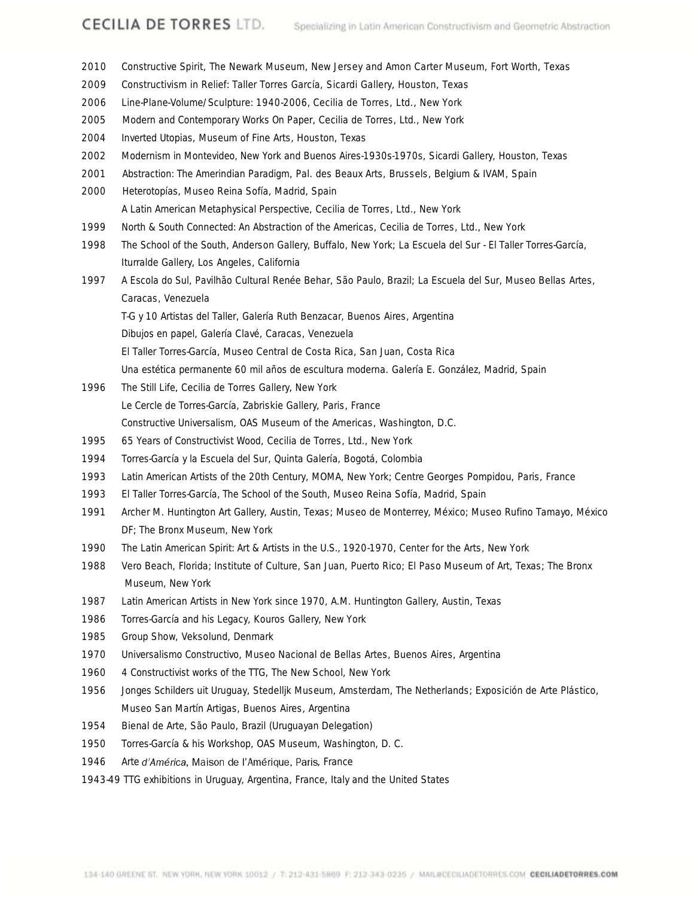- *Constructive Spirit*, The Newark Museum, New Jersey and Amon Carter Museum, Fort Worth, Texas *Constructivism in Relief: Taller Torres García*, Sicardi Gallery, Houston, Texas *Line-Plane-Volume/Sculpture: 1940-2006*, Cecilia de Torres, Ltd., New York *Modern and Contemporary Works On Paper*, Cecilia de Torres, Ltd., New York *Inverted Utopias*, Museum of Fine Arts, Houston, Texas *Modernism in Montevideo, New York and Buenos Aires-1930s-1970s*, Sicardi Gallery, Houston, Texas *Abstraction: The Amerindian Paradigm*, Pal. des Beaux Arts, Brussels, Belgium & IVAM, Spain *Heterotopías*, Museo Reina Sofía, Madrid, Spain *A Latin American Metaphysical Perspective*, Cecilia de Torres, Ltd., New York *North & South Connected: An Abstraction of the Americas*, Cecilia de Torres, Ltd., New York *The School of the South*, Anderson Gallery, Buffalo, New York; *La Escuela del Sur - El Taller Torres-García*, Iturralde Gallery, Los Angeles, California *A Escola do Sul*, Pavilhão Cultural Renée Behar, São Paulo, Brazil; *La Escuela del Sur*, Museo Bellas Artes, Caracas, Venezuela *T-G y 10 Artistas del Taller*, Galería Ruth Benzacar, Buenos Aires, Argentina *Dibujos en papel*, Galería Clavé, Caracas, Venezuela *El Taller Torres-García*, Museo Central de Costa Rica, San Juan, Costa Rica *Una estética permanente 60 mil años de escultura moderna*. Galería E. González, Madrid, Spain *The Still Life*, Cecilia de Torres Gallery, New York *Le Cercle de Torres-García*, Zabriskie Gallery, Paris, France *Constructive Universalism*, OAS Museum of the Americas, Washington, D.C. *65 Years of Constructivist Wood*, Cecilia de Torres, Ltd., New York *Torres-García y la Escuela del Sur*, Quinta Galería, Bogotá, Colombia *Latin American Artists of the 20th Century*, MOMA, New York; Centre Georges Pompidou, Paris, France *El Taller Torres-García, The School of the South*, Museo Reina Sofía, Madrid, Spain Archer M. Huntington Art Gallery, Austin, Texas; Museo de Monterrey, México; Museo Rufino Tamayo, México DF; The Bronx Museum, New York *The Latin American Spirit: Art & Artists in the U.S., 1920-1970*, Center for the Arts, New York Vero Beach, Florida; Institute of Culture, San Juan, Puerto Rico; El Paso Museum of Art, Texas; The Bronx Museum, New York *Latin American Artists in New York since 1970*, A.M. Huntington Gallery, Austin, Texas *Torres-García and his Legacy*, Kouros Gallery, New York 1985 Group Show, Veksolund, Denmark
- *Universalismo Constructivo*, Museo Nacional de Bellas Artes, Buenos Aires, Argentina
- *4 Constructivist works of the TTG*, The New School, New York
- *Jonges Schilders uit Uruguay*, Stedelljk Museum, Amsterdam, The Netherlands; Exposición de Arte Plástico, Museo San Martín Artigas, Buenos Aires, Argentina
- Bienal de Arte, São Paulo, Brazil (Uruguayan Delegation)
- *Torres-García & his Workshop*, OAS Museum, Washington, D. C.
- 1946 Arte d'América, Maison de l'Amérique, Paris, France
- 1943-49 TTG exhibitions in Uruguay, Argentina, France, Italy and the United States